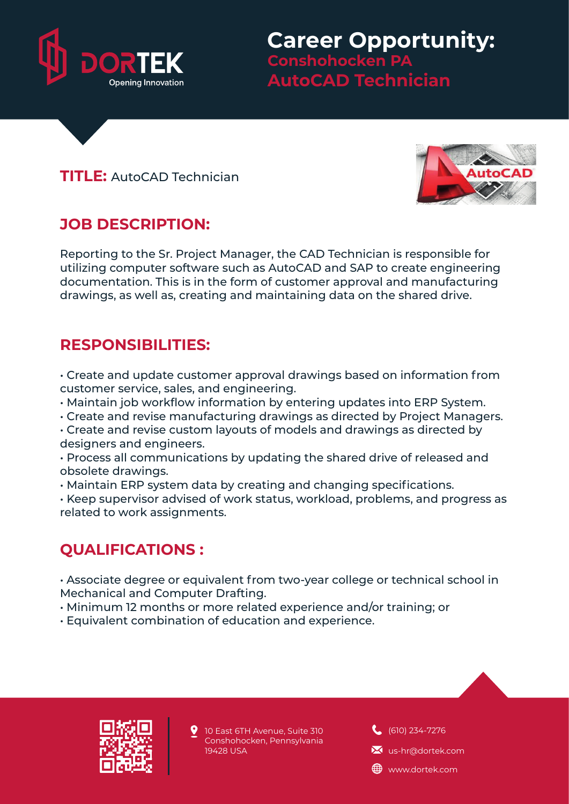

**Career Opportunity: Conshohocken PA AutoCAD Technician**

#### **TITLE:** AutoCAD Technician



## **JOB DESCRIPTION:**

Reporting to the Sr. Project Manager, the CAD Technician is responsible for utilizing computer software such as AutoCAD and SAP to create engineering documentation. This is in the form of customer approval and manufacturing drawings, as well as, creating and maintaining data on the shared drive.

#### **RESPONSIBILITIES:**

• Create and update customer approval drawings based on information from customer service, sales, and engineering.

- Maintain job workflow information by entering updates into ERP System.
- Create and revise manufacturing drawings as directed by Project Managers.
- Create and revise custom layouts of models and drawings as directed by designers and engineers.
- Process all communications by updating the shared drive of released and obsolete drawings.
- Maintain ERP system data by creating and changing specifications.

• Keep supervisor advised of work status, workload, problems, and progress as related to work assignments.

## **QUALIFICATIONS :**

• Associate degree or equivalent from two-year college or technical school in Mechanical and Computer Drafting.

- Minimum 12 months or more related experience and/or training; or
- Equivalent combination of education and experience.



10 East 6TH Avenue, Suite 310 Conshohocken, Pennsylvania 19428 USA

(610) 234-7276

**X** us-hr@dortek.com

**ED** www.dortek.com